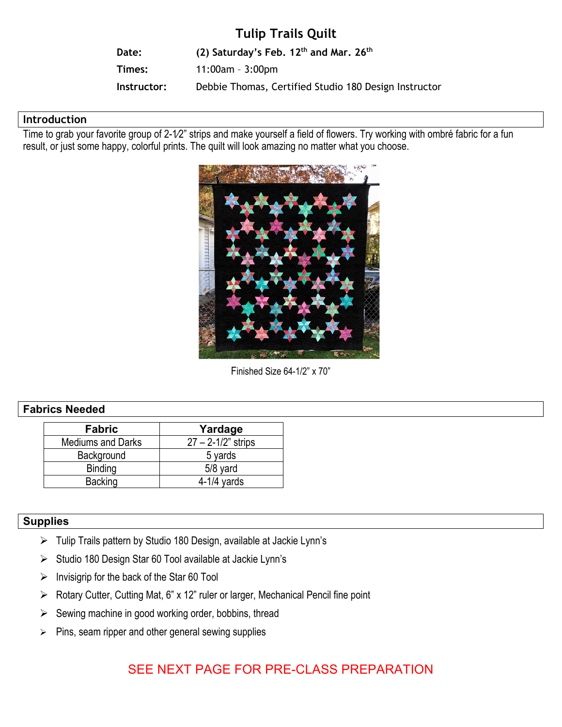## **Tulip Trails Quilt**

**Date: (2) Saturday's Feb. 12th and Mar. 26th Times:** 11:00am – 3:00pm **Instructor:** Debbie Thomas, Certified Studio 180 Design Instructor

#### **Introduction**

Time to grab your favorite group of 2-1⁄2" strips and make yourself a field of flowers. Try working with ombré fabric for a fun result, or just some happy, colorful prints. The quilt will look amazing no matter what you choose.



Finished Size 64-1/2" x 70"

### **Fabrics Needed**

| <b>Fabric</b>            | Yardage                 |  |
|--------------------------|-------------------------|--|
| <b>Mediums and Darks</b> | $27 - 2 - 1/2$ " strips |  |
| Background               | 5 yards                 |  |
| <b>Binding</b>           | $5/8$ yard              |  |
| <b>Backing</b>           | $4-1/4$ vards           |  |

#### **Supplies**

- $\triangleright$  Tulip Trails pattern by Studio 180 Design, available at Jackie Lynn's
- $\triangleright$  Studio 180 Design Star 60 Tool available at Jackie Lynn's
- $\triangleright$  Invisigrip for the back of the Star 60 Tool
- $\triangleright$  Rotary Cutter, Cutting Mat, 6" x 12" ruler or larger, Mechanical Pencil fine point
- $\triangleright$  Sewing machine in good working order, bobbins, thread
- $\triangleright$  Pins, seam ripper and other general sewing supplies

# SEE NEXT PAGE FOR PRE-CLASS PREPARATION